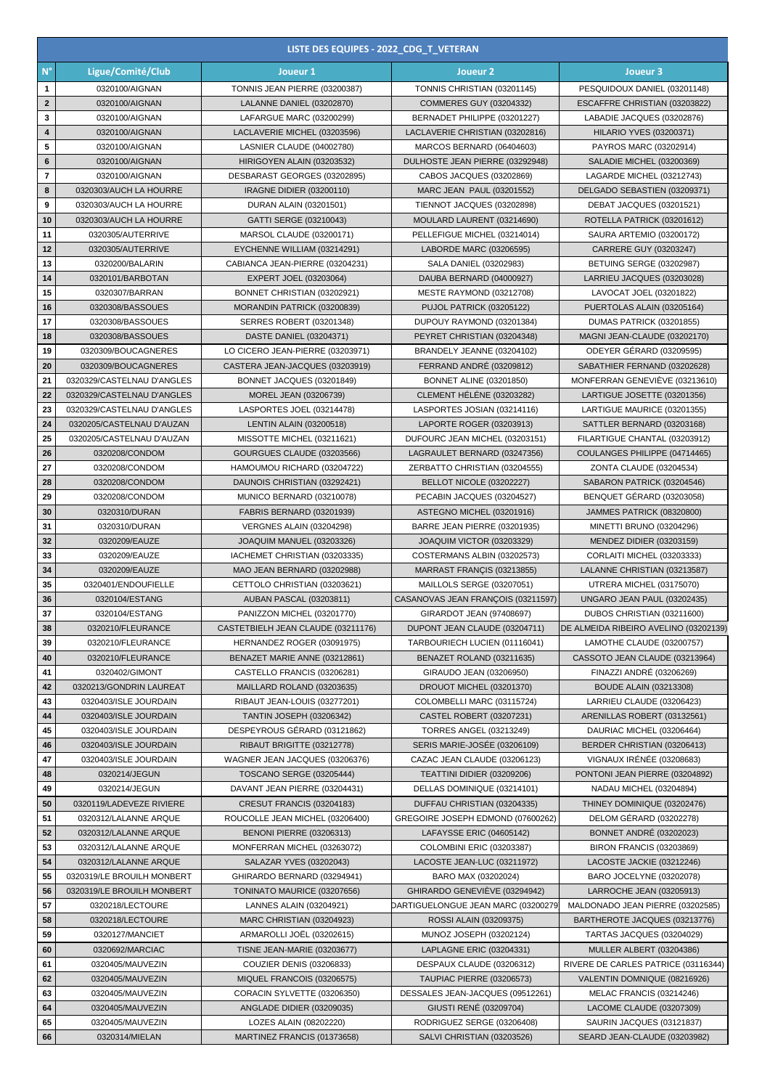|                          | LISTE DES EQUIPES - 2022 CDG T VETERAN                  |                                                                  |                                                                |                                                           |  |  |  |
|--------------------------|---------------------------------------------------------|------------------------------------------------------------------|----------------------------------------------------------------|-----------------------------------------------------------|--|--|--|
| $\mathsf{N}^\circ$       | Ligue/Comité/Club                                       | Joueur 1                                                         | Joueur <sub>2</sub>                                            | Joueur 3                                                  |  |  |  |
| $\mathbf{1}$             | 0320100/AIGNAN                                          | TONNIS JEAN PIERRE (03200387)                                    | TONNIS CHRISTIAN (03201145)                                    | PESQUIDOUX DANIEL (03201148)                              |  |  |  |
| $\mathbf{2}$             | 0320100/AIGNAN                                          | LALANNE DANIEL (03202870)                                        | COMMERES GUY (03204332)                                        | ESCAFFRE CHRISTIAN (03203822)                             |  |  |  |
| 3                        | 0320100/AIGNAN                                          | LAFARGUE MARC (03200299)                                         | BERNADET PHILIPPE (03201227)                                   | LABADIE JACQUES (03202876)                                |  |  |  |
| $\overline{\mathbf{4}}$  | 0320100/AIGNAN                                          | LACLAVERIE MICHEL (03203596)                                     | LACLAVERIE CHRISTIAN (03202816)                                | <b>HILARIO YVES (03200371)</b>                            |  |  |  |
| 5                        | 0320100/AIGNAN                                          | LASNIER CLAUDE (04002780)                                        | MARCOS BERNARD (06404603)                                      | PAYROS MARC (03202914)                                    |  |  |  |
| 6                        | 0320100/AIGNAN                                          | HIRIGOYEN ALAIN (03203532)                                       | DULHOSTE JEAN PIERRE (03292948)                                | SALADIE MICHEL (03200369)                                 |  |  |  |
| $\overline{\phantom{a}}$ | 0320100/AIGNAN                                          | DESBARAST GEORGES (03202895)                                     | CABOS JACQUES (03202869)                                       | LAGARDE MICHEL (03212743)                                 |  |  |  |
| 8                        | 0320303/AUCH LA HOURRE                                  | IRAGNE DIDIER (03200110)                                         | MARC JEAN PAUL (03201552)<br>TIENNOT JACQUES (03202898)        | DELGADO SEBASTIEN (03209371)                              |  |  |  |
| 9<br>10                  | 0320303/AUCH LA HOURRE<br>0320303/AUCH LA HOURRE        | DURAN ALAIN (03201501)<br>GATTI SERGE (03210043)                 | MOULARD LAURENT (03214690)                                     | DEBAT JACQUES (03201521)<br>ROTELLA PATRICK (03201612)    |  |  |  |
| 11                       | 0320305/AUTERRIVE                                       | MARSOL CLAUDE (03200171)                                         | PELLEFIGUE MICHEL (03214014)                                   | SAURA ARTEMIO (03200172)                                  |  |  |  |
| 12                       | 0320305/AUTERRIVE                                       | EYCHENNE WILLIAM (03214291)                                      | LABORDE MARC (03206595)                                        | CARRERE GUY (03203247)                                    |  |  |  |
| 13                       | 0320200/BALARIN                                         | CABIANCA JEAN-PIERRE (03204231)                                  | SALA DANIEL (03202983)                                         | <b>BETUING SERGE (03202987)</b>                           |  |  |  |
| 14                       | 0320101/BARBOTAN                                        | EXPERT JOEL (03203064)                                           | DAUBA BERNARD (04000927)                                       | LARRIEU JACQUES (03203028)                                |  |  |  |
| 15                       | 0320307/BARRAN                                          | BONNET CHRISTIAN (03202921)                                      | MESTE RAYMOND (03212708)                                       | LAVOCAT JOEL (03201822)                                   |  |  |  |
| 16                       | 0320308/BASSOUES                                        | MORANDIN PATRICK (03200839)                                      | PUJOL PATRICK (03205122)                                       | PUERTOLAS ALAIN (03205164)                                |  |  |  |
| 17                       | 0320308/BASSOUES                                        | SERRES ROBERT (03201348)                                         | DUPOUY RAYMOND (03201384)                                      | DUMAS PATRICK (03201855)                                  |  |  |  |
| 18                       | 0320308/BASSOUES                                        | DASTE DANIEL (03204371)                                          | PEYRET CHRISTIAN (03204348)                                    | MAGNI JEAN-CLAUDE (03202170)                              |  |  |  |
| 19                       | 0320309/BOUCAGNERES                                     | LO CICERO JEAN-PIERRE (03203971)                                 | BRANDELY JEANNE (03204102)                                     | ODEYER GÉRARD (03209595)                                  |  |  |  |
| 20                       | 0320309/BOUCAGNERES                                     | CASTERA JEAN-JACQUES (03203919)                                  | <b>FERRAND ANDRÉ (03209812)</b>                                | SABATHIER FERNAND (03202628)                              |  |  |  |
| 21                       | 0320329/CASTELNAU D'ANGLES                              | BONNET JACQUES (03201849)                                        | <b>BONNET ALINE (03201850)</b>                                 | MONFERRAN GENEVIËVE (03213610)                            |  |  |  |
| 22                       | 0320329/CASTELNAU D'ANGLES                              | MOREL JEAN (03206739)                                            | CLEMENT HELENE (03203282)                                      | LARTIGUE JOSETTE (03201356)                               |  |  |  |
| 23<br>24                 | 0320329/CASTELNAU D'ANGLES<br>0320205/CASTELNAU D'AUZAN | LASPORTES JOEL (03214478)<br><b>LENTIN ALAIN (03200518)</b>      | LASPORTES JOSIAN (03214116)<br>LAPORTE ROGER (03203913)        | LARTIGUE MAURICE (03201355)<br>SATTLER BERNARD (03203168) |  |  |  |
| 25                       | 0320205/CASTELNAU D'AUZAN                               | MISSOTTE MICHEL (03211621)                                       | DUFOURC JEAN MICHEL (03203151)                                 | FILARTIGUE CHANTAL (03203912)                             |  |  |  |
| 26                       | 0320208/CONDOM                                          | GOURGUES CLAUDE (03203566)                                       | LAGRAULET BERNARD (03247356)                                   | COULANGES PHILIPPE (04714465)                             |  |  |  |
| 27                       | 0320208/CONDOM                                          | HAMOUMOU RICHARD (03204722)                                      | ZERBATTO CHRISTIAN (03204555)                                  | ZONTA CLAUDE (03204534)                                   |  |  |  |
| 28                       | 0320208/CONDOM                                          | DAUNOIS CHRISTIAN (03292421)                                     | BELLOT NICOLE (03202227)                                       | SABARON PATRICK (03204546)                                |  |  |  |
| 29                       | 0320208/CONDOM                                          | MUNICO BERNARD (03210078)                                        | PECABIN JACQUES (03204527)                                     | BENQUET GÉRARD (03203058)                                 |  |  |  |
| 30                       | 0320310/DURAN                                           | <b>FABRIS BERNARD (03201939)</b>                                 | ASTEGNO MICHEL (03201916)                                      | JAMMES PATRICK (08320800)                                 |  |  |  |
| 31                       | 0320310/DURAN                                           | <b>VERGNES ALAIN (03204298)</b>                                  | BARRE JEAN PIERRE (03201935)                                   | MINETTI BRUNO (03204296)                                  |  |  |  |
| 32                       | 0320209/EAUZE                                           | JOAQUIM MANUEL (03203326)                                        | JOAQUIM VICTOR (03203329)                                      | MENDEZ DIDIER (03203159)                                  |  |  |  |
| 33                       | 0320209/EAUZE                                           | IACHEMET CHRISTIAN (03203335)                                    | COSTERMANS ALBIN (03202573)                                    | CORLAITI MICHEL (03203333)                                |  |  |  |
| 34                       | 0320209/EAUZE                                           | MAO JEAN BERNARD (03202988)                                      | MARRAST FRANÇIS (03213855)                                     | LALANNE CHRISTIAN (03213587)                              |  |  |  |
| 35                       | 0320401/ENDOUFIELLE                                     | CETTOLO CHRISTIAN (03203621)                                     | MAILLOLS SERGE (03207051)                                      | UTRERA MICHEL (03175070)                                  |  |  |  |
| 36<br>37                 | 0320104/ESTANG<br>0320104/ESTANG                        | AUBAN PASCAL (03203811)<br>PANIZZON MICHEL (03201770)            | CASANOVAS JEAN FRANÇOIS (03211597)<br>GIRARDOT JEAN (97408697) | UNGARO JEAN PAUL (03202435)<br>DUBOS CHRISTIAN (03211600) |  |  |  |
| 38                       | 0320210/FLEURANCE                                       | CASTETBIELH JEAN CLAUDE (03211176)                               | DUPONT JEAN CLAUDE (03204711)                                  | DE ALMEIDA RIBEIRO AVELINO (03202139)                     |  |  |  |
| 39                       | 0320210/FLEURANCE                                       | HERNANDEZ ROGER (03091975)                                       | TARBOURIECH LUCIEN (01116041)                                  | LAMOTHE CLAUDE (03200757)                                 |  |  |  |
| 40                       | 0320210/FLEURANCE                                       | BENAZET MARIE ANNE (03212861)                                    | BENAZET ROLAND (03211635)                                      | CASSOTO JEAN CLAUDE (03213964)                            |  |  |  |
| 41                       | 0320402/GIMONT                                          | CASTELLO FRANCIS (03206281)                                      | GIRAUDO JEAN (03206950)                                        | FINAZZI ANDRÉ (03206269)                                  |  |  |  |
| 42                       | 0320213/GONDRIN LAUREAT                                 | MAILLARD ROLAND (03203635)                                       | DROUOT MICHEL (03201370)                                       | <b>BOUDE ALAIN (03213308)</b>                             |  |  |  |
| 43                       | 0320403/ISLE JOURDAIN                                   | RIBAUT JEAN-LOUIS (03277201)                                     | COLOMBELLI MARC (03115724)                                     | LARRIEU CLAUDE (03206423)                                 |  |  |  |
| 44                       | 0320403/ISLE JOURDAIN                                   | <b>TANTIN JOSEPH (03206342)</b>                                  | CASTEL ROBERT (03207231)                                       | ARENILLAS ROBERT (03132561)                               |  |  |  |
| 45                       | 0320403/ISLE JOURDAIN                                   | DESPEYROUS GÉRARD (03121862)                                     | TORRES ANGEL (03213249)                                        | DAURIAC MICHEL (03206464)                                 |  |  |  |
| 46                       | 0320403/ISLE JOURDAIN                                   | RIBAUT BRIGITTE (03212778)                                       | SERIS MARIE-JOSÉE (03206109)                                   | BERDER CHRISTIAN (03206413)                               |  |  |  |
| 47                       | 0320403/ISLE JOURDAIN                                   | WAGNER JEAN JACQUES (03206376)                                   | CAZAC JEAN CLAUDE (03206123)                                   | VIGNAUX IRÉNÉE (03208683)                                 |  |  |  |
| 48<br>49                 | 0320214/JEGUN<br>0320214/JEGUN                          | <b>TOSCANO SERGE (03205444)</b><br>DAVANT JEAN PIERRE (03204431) | TEATTINI DIDIER (03209206)<br>DELLAS DOMINIQUE (03214101)      | PONTONI JEAN PIERRE (03204892)<br>NADAU MICHEL (03204894) |  |  |  |
| 50                       | 0320119/LADEVEZE RIVIERE                                | CRESUT FRANCIS (03204183)                                        | DUFFAU CHRISTIAN (03204335)                                    | THINEY DOMINIQUE (03202476)                               |  |  |  |
| 51                       | 0320312/LALANNE ARQUE                                   | ROUCOLLE JEAN MICHEL (03206400)                                  | GREGOIRE JOSEPH EDMOND (07600262)                              | DELOM GÉRARD (03202278)                                   |  |  |  |
| 52                       | 0320312/LALANNE ARQUE                                   | <b>BENONI PIERRE (03206313)</b>                                  | LAFAYSSE ERIC (04605142)                                       | <b>BONNET ANDRÉ (03202023)</b>                            |  |  |  |
| 53                       | 0320312/LALANNE ARQUE                                   | MONFERRAN MICHEL (03263072)                                      | COLOMBINI ERIC (03203387)                                      | <b>BIRON FRANCIS (03203869)</b>                           |  |  |  |
| 54                       | 0320312/LALANNE ARQUE                                   | SALAZAR YVES (03202043)                                          | LACOSTE JEAN-LUC (03211972)                                    | LACOSTE JACKIE (03212246)                                 |  |  |  |
| 55                       | 0320319/LE BROUILH MONBERT                              | GHIRARDO BERNARD (03294941)                                      | BARO MAX (03202024)                                            | BARO JOCELYNE (03202078)                                  |  |  |  |
| 56                       | 0320319/LE BROUILH MONBERT                              | TONINATO MAURICE (03207656)                                      | GHIRARDO GENEVIÈVE (03294942)                                  | LARROCHE JEAN (03205913)                                  |  |  |  |
| 57                       | 0320218/LECTOURE                                        | LANNES ALAIN (03204921)                                          | DARTIGUELONGUE JEAN MARC (03200279                             | MALDONADO JEAN PIERRE (03202585)                          |  |  |  |
| 58                       | 0320218/LECTOURE                                        | MARC CHRISTIAN (03204923)                                        | ROSSI ALAIN (03209375)                                         | BARTHEROTE JACQUES (03213776)                             |  |  |  |
| 59                       | 0320127/MANCIET                                         | ARMAROLLI JOËL (03202615)                                        | MUNOZ JOSEPH (03202124)                                        | TARTAS JACQUES (03204029)                                 |  |  |  |
| 60                       | 0320692/MARCIAC                                         | TISNE JEAN-MARIE (03203677)                                      | LAPLAGNE ERIC (03204331)                                       | MULLER ALBERT (03204386)                                  |  |  |  |
| 61                       | 0320405/MAUVEZIN                                        | COUZIER DENIS (03206833)                                         | DESPAUX CLAUDE (03206312)                                      | RIVERE DE CARLES PATRICE (03116344)                       |  |  |  |
| 62                       | 0320405/MAUVEZIN                                        | MIQUEL FRANCOIS (03206575)                                       | <b>TAUPIAC PIERRE (03206573)</b>                               | VALENTIN DOMNIQUE (08216926)                              |  |  |  |
| 63<br>64                 | 0320405/MAUVEZIN<br>0320405/MAUVEZIN                    | CORACIN SYLVETTE (03206350)<br>ANGLADE DIDIER (03209035)         | DESSALES JEAN-JACQUES (09512261)<br>GIUSTI RENÉ (03209704)     | MELAC FRANCIS (03214246)<br>LACOME CLAUDE (03207309)      |  |  |  |
| 65                       | 0320405/MAUVEZIN                                        | LOZES ALAIN (08202220)                                           | RODRIGUEZ SERGE (03206408)                                     | SAURIN JACQUES (03121837)                                 |  |  |  |
| 66                       | 0320314/MIELAN                                          | MARTINEZ FRANCIS (01373658)                                      | SALVI CHRISTIAN (03203526)                                     | SEARD JEAN-CLAUDE (03203982)                              |  |  |  |